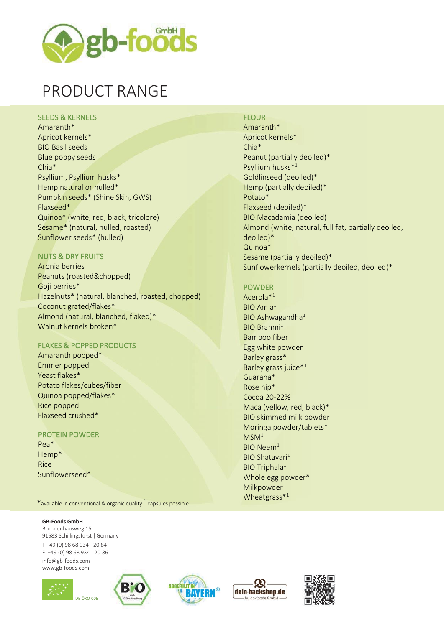

# PRODUCT RANGE

### SEEDS & KERNELS

Amaranth\* Apricot kernels\* BIO Basil seeds Blue poppy seeds Chia\* Psyllium, Psyllium husks\* Hemp natural or hulled\* Pumpkin seeds\* (Shine Skin, GWS) Flaxseed\* Quinoa\* (white, red, black, tricolore) Sesame\* (natural, hulled, roasted) Sunflower seeds\* (hulled)

## NUTS & DRY FRUITS

Aronia berries Peanuts (roasted&chopped) Goji berries\* Hazelnuts\* (natural, blanched, roasted, chopped) Coconut grated/flakes\* Almond (natural, blanched, flaked)\* Walnut kernels broken\*

## FLAKES & POPPED PRODUCTS

Amaranth popped\* Emmer popped Yeast flakes\* Potato flakes/cubes/fiber Quinoa popped/flakes\* Rice popped Flaxseed crushed\*

### PROTEIN POWDER

Pea\* Hemp\* Rice Sunflowerseed\*

 $\textbf{\textup{*}}$ available in conventional & organic quality  $^{1}$  capsules possible

#### **GB-Foods GmbH**

Brunnenhausweg 15 91583 Schillingsfürst |Germany T +49 (0) 98 68 934 - 20 84 F +49 (0) 98 68 934 - 20 86 [info@gb-foods.com](mailto:info@gb-foods.com) [www.gb-foods.com](http://www.gb-foods.com/)











## **FLOUR**

Amaranth\* Apricot kernels\* Chia\* Peanut (partially deoiled)\* Psyllium husks\* 1 Goldlinseed (deoiled)\* Hemp (partially deoiled)\* Potato\* Flaxseed (deoiled)\* BIO Macadamia (deoiled) Almond (white, natural, full fat, partially deoiled, deoiled)\* Quinoa\* Sesame (partially deoiled)\* Sunflowerkernels (partially deoiled, deoiled)\*

## POWDER

Acerola\*<sup>1</sup> BIO Amla<sup>1</sup> BIO Ashwagandha $1$ BIO Brahmi<sup>1</sup> Bamboo fiber Egg white powder Barley grass\*<sup>1</sup> Barley grass juice\*<sup>1</sup> Guarana\* Rose hip\* Cocoa 20-22% Maca (yellow, red, black)\* BIO skimmed milk powder Moringa powder/tablets\*  $MSM<sup>1</sup>$ BIO Neem<sup>1</sup> BIO Shatavari<sup>1</sup> BIO Triphala<sup>1</sup> Whole egg powder\* Milkpowder Wheatgrass $*1$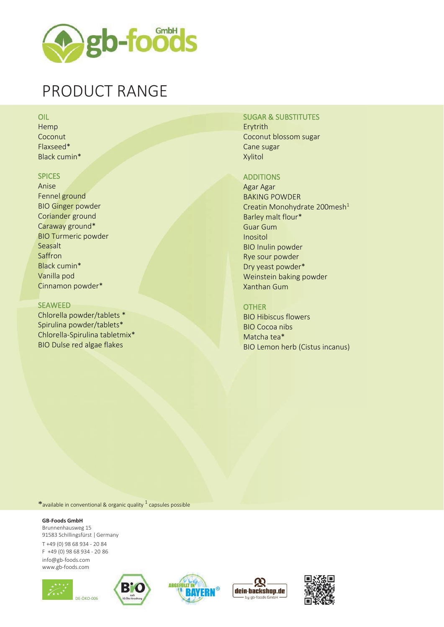

## PRODUCT RANGE

## OIL

Hemp Coconut Flaxseed\* Black cumin\*

### SPICES

Anise Fennel ground BIO Ginger powder Coriander ground Caraway ground\* BIO Turmeric powder Seasalt Saffron Black cumin\* Vanilla pod Cinnamon powder\*

#### SEAWEED

Chlorella powder/tablets \* Spirulina powder/tablets\* Chlorella-Spirulina tabletmix\* BIO Dulse red algae flakes

## SUGAR & SUBSTITUTES

Erytrith Coconut blossom sugar Cane sugar Xylitol

## ADDITIONS

Agar Agar BAKING POWDER Creatin Monohydrate 200mesh<sup>1</sup> Barley malt flour\* Guar Gum Inositol BIO Inulin powder Rye sour powder Dry yeast powder\* Weinstein baking powder Xanthan Gum

### OTHER

BIO Hibiscus flowers BIO Cocoa nibs Matcha tea\* BIO Lemon herb (Cistus incanus)

\*available in conventional & organic quality  $^1$  capsules possible

#### **GB-Foods GmbH**

Brunnenhausweg 15 91583 Schillingsfürst |Germany T +49 (0) 98 68 934 - 20 84 F +49 (0) 98 68 934 - 20 86 [info@gb-foods.com](mailto:info@gb-foods.com) [www.gb-foods.com](http://www.gb-foods.com/)